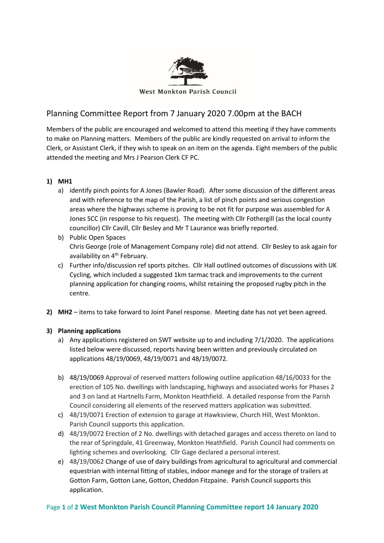

## Planning Committee Report from 7 January 2020 7.00pm at the BACH

Members of the public are encouraged and welcomed to attend this meeting if they have comments to make on Planning matters. Members of the public are kindly requested on arrival to inform the Clerk, or Assistant Clerk, if they wish to speak on an item on the agenda. Eight members of the public attended the meeting and Mrs J Pearson Clerk CF PC.

## **1) MH1**

- a) identify pinch points for A Jones (Bawler Road). After some discussion of the different areas and with reference to the map of the Parish, a list of pinch points and serious congestion areas where the highways scheme is proving to be not fit for purpose was assembled for A Jones SCC (in response to his request). The meeting with Cllr Fothergill (as the local county councillor) Cllr Cavill, Cllr Besley and Mr T Laurance was briefly reported.
- b) Public Open Spaces Chris George (role of Management Company role) did not attend. Cllr Besley to ask again for availability on 4<sup>th</sup> February.
- c) Further info/discussion ref sports pitches. Cllr Hall outlined outcomes of discussions with UK Cycling, which included a suggested 1km tarmac track and improvements to the current planning application for changing rooms, whilst retaining the proposed rugby pitch in the centre.
- **2) MH2** items to take forward to Joint Panel response. Meeting date has not yet been agreed.

## **3) Planning applications**

- a) Any applications registered on SWT website up to and including 7/1/2020. The applications listed below were discussed, reports having been written and previously circulated on applications 48/19/0069, 48/19/0071 and 48/19/0072.
- b) 48/19/0069 Approval of reserved matters following outline application 48/16/0033 for the erection of 105 No. dwellings with landscaping, highways and associated works for Phases 2 and 3 on land at Hartnells Farm, Monkton Heathfield. A detailed response from the Parish Council considering all elements of the reserved matters application was submitted.
- c) 48/19/0071 Erection of extension to garage at Hawksview, Church Hill, West Monkton. Parish Council supports this application.
- d) 48/19/0072 Erection of 2 No. dwellings with detached garages and access thereto on land to the rear of Springdale, 41 Greenway, Monkton Heathfield. Parish Council had comments on lighting schemes and overlooking. Cllr Gage declared a personal interest.
- e) 48/19/0062 Change of use of dairy buildings from agricultural to agricultural and commercial equestrian with internal fitting of stables, indoor manege and for the storage of trailers at Gotton Farm, Gotton Lane, Gotton, Cheddon Fitzpaine. Parish Council supports this application.